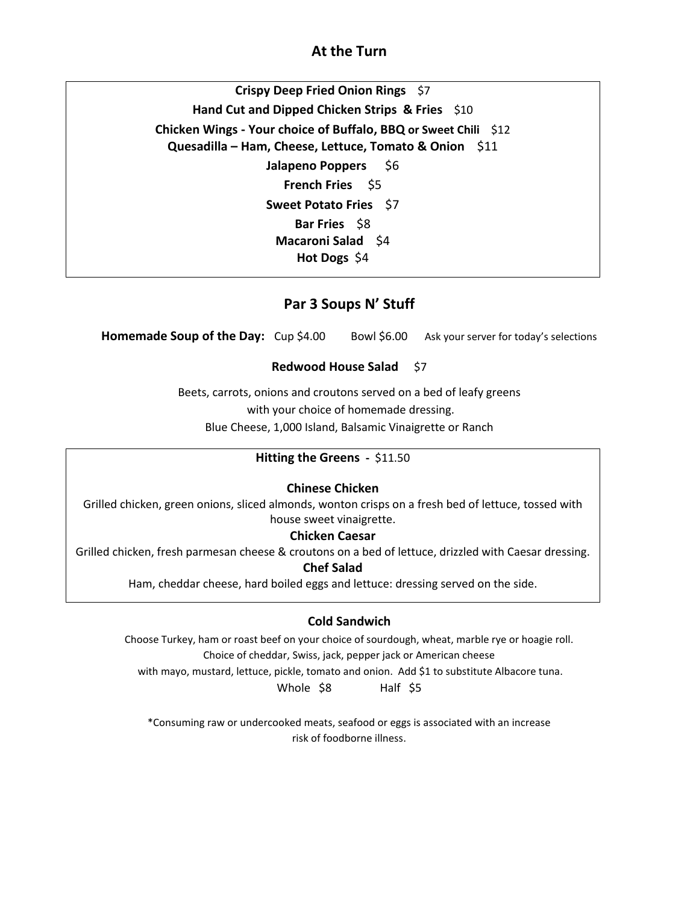## **At the Turn**

**Crispy Deep Fried Onion Rings** \$7 **Hand Cut and Dipped Chicken Strips & Fries** \$10 **Chicken Wings - Your choice of Buffalo, BBQ or Sweet Chili** \$12 **Quesadilla – Ham, Cheese, Lettuce, Tomato & Onion** \$11 **Jalapeno Poppers** \$6 **French Fries** \$5 **Sweet Potato Fries** \$7 **Bar Fries** \$8 **Macaroni Salad** \$4 **Hot Dogs** \$4

## **Par 3 Soups N' Stuff**

**Homemade Soup of the Day:** Cup \$4.00 Bowl \$6.00 Ask your server for today's selections

#### **Redwood House Salad** \$7

Beets, carrots, onions and croutons served on a bed of leafy greens with your choice of homemade dressing. Blue Cheese, 1,000 Island, Balsamic Vinaigrette or Ranch

#### **Hitting the Greens -** \$11.50

#### **Chinese Chicken**

Grilled chicken, green onions, sliced almonds, wonton crisps on a fresh bed of lettuce, tossed with house sweet vinaigrette.

#### **Chicken Caesar**

Grilled chicken, fresh parmesan cheese & croutons on a bed of lettuce, drizzled with Caesar dressing.

#### **Chef Salad**

Ham, cheddar cheese, hard boiled eggs and lettuce: dressing served on the side.

#### **Cold Sandwich**

Choose Turkey, ham or roast beef on your choice of sourdough, wheat, marble rye or hoagie roll. Choice of cheddar, Swiss, jack, pepper jack or American cheese

with mayo, mustard, lettuce, pickle, tomato and onion. Add \$1 to substitute Albacore tuna.

Whole \$8 Half \$5

\*Consuming raw or undercooked meats, seafood or eggs is associated with an increase risk of foodborne illness.